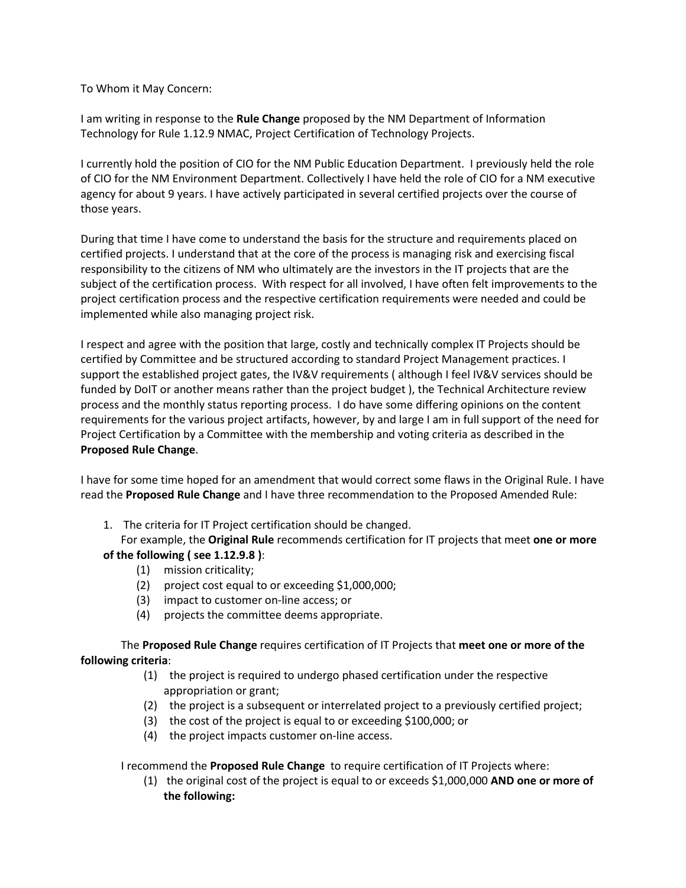To Whom it May Concern:

I am writing in response to the **Rule Change** proposed by the NM Department of Information Technology for Rule 1.12.9 NMAC, Project Certification of Technology Projects.

I currently hold the position of CIO for the NM Public Education Department. I previously held the role of CIO for the NM Environment Department. Collectively I have held the role of CIO for a NM executive agency for about 9 years. I have actively participated in several certified projects over the course of those years.

During that time I have come to understand the basis for the structure and requirements placed on certified projects. I understand that at the core of the process is managing risk and exercising fiscal responsibility to the citizens of NM who ultimately are the investors in the IT projects that are the subject of the certification process. With respect for all involved, I have often felt improvements to the project certification process and the respective certification requirements were needed and could be implemented while also managing project risk.

I respect and agree with the position that large, costly and technically complex IT Projects should be certified by Committee and be structured according to standard Project Management practices. I support the established project gates, the IV&V requirements ( although I feel IV&V services should be funded by DoIT or another means rather than the project budget ), the Technical Architecture review process and the monthly status reporting process. I do have some differing opinions on the content requirements for the various project artifacts, however, by and large I am in full support of the need for Project Certification by a Committee with the membership and voting criteria as described in the **Proposed Rule Change**.

I have for some time hoped for an amendment that would correct some flaws in the Original Rule. I have read the **Proposed Rule Change** and I have three recommendation to the Proposed Amended Rule:

1. The criteria for IT Project certification should be changed.

For example, the **Original Rule** recommends certification for IT projects that meet **one or more of the following ( see 1.12.9.8 )**:

- (1) mission criticality;
- (2) project cost equal to or exceeding \$1,000,000;
- (3) impact to customer on-line access; or
- (4) projects the committee deems appropriate.

The **Proposed Rule Change** requires certification of IT Projects that **meet one or more of the following criteria**:

- (1) the project is required to undergo phased certification under the respective appropriation or grant;
- (2) the project is a subsequent or interrelated project to a previously certified project;
- (3) the cost of the project is equal to or exceeding \$100,000; or
- (4) the project impacts customer on-line access.

I recommend the **Proposed Rule Change** to require certification of IT Projects where:

(1) the original cost of the project is equal to or exceeds \$1,000,000 **AND one or more of the following:**